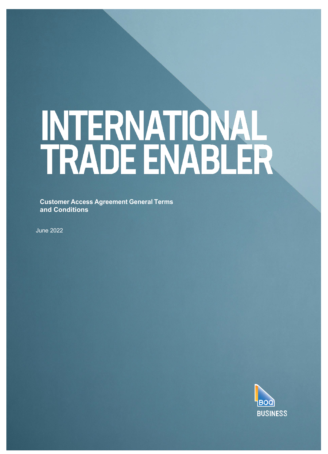# INTERNATIONAL<br>TRADE ENABLER

**Customer Access Agreement General Terms and Conditions**

June 2022

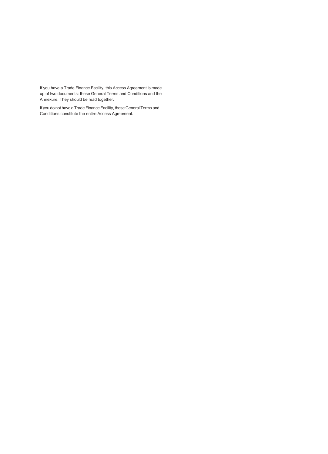If you have a Trade Finance Facility, this Access Agreement is made up of two documents: these General Terms and Conditions and the Annexure. They should be read together.

If you do not have a Trade Finance Facility, these General Terms and Conditions constitute the entire Access Agreement.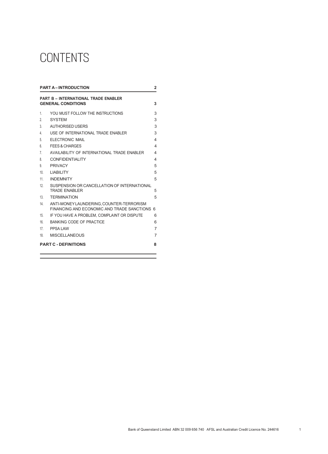# CONTENTS

| <b>PART A-INTRODUCTION</b>                                                    |                                                                                             |   |  |
|-------------------------------------------------------------------------------|---------------------------------------------------------------------------------------------|---|--|
| <b>PART B - INTERNATIONAL TRADE ENABLER</b><br><b>GENERAL CONDITIONS</b><br>3 |                                                                                             |   |  |
| 1.                                                                            | YOU MUST FOLLOW THE INSTRUCTIONS                                                            | 3 |  |
| 2.                                                                            | <b>SYSTEM</b>                                                                               | 3 |  |
| 3                                                                             | <b>AUTHORISED USERS</b>                                                                     | 3 |  |
| 4                                                                             | USE OF INTERNATIONAL TRADE FNABLER                                                          | 3 |  |
| 5.                                                                            | <b>ELECTRONIC MAIL</b>                                                                      | 4 |  |
| 6.                                                                            | FFFS & CHARGES                                                                              | 4 |  |
| $\overline{7}$                                                                | AVAILABILITY OF INTERNATIONAL TRADE ENABLER                                                 | 4 |  |
| 8.                                                                            | CONFIDENTIAL ITY                                                                            | 4 |  |
| 9                                                                             | <b>PRIVACY</b>                                                                              | 5 |  |
| 10 <sup>1</sup>                                                               | <b>I IABILITY</b>                                                                           | 5 |  |
| 11                                                                            | <b>INDEMNITY</b>                                                                            | 5 |  |
| 12                                                                            | SUSPENSION OR CANCELLATION OF INTERNATIONAL<br><b>TRADE FNABLER</b>                         | 5 |  |
| 13.                                                                           | <b>TERMINATION</b>                                                                          | 5 |  |
| 14                                                                            | ANTI-MONEY LAUNDERING, COUNTER-TERRORISM<br>FINANCING AND FCONOMIC AND TRADE SANCTIONS<br>6 |   |  |
| 15                                                                            | IF YOU HAVE A PROBLEM. COMPLAINT OR DISPUTE                                                 | 6 |  |
| 16                                                                            | <b>BANKING CODE OF PRACTICE</b>                                                             | 6 |  |
| 17                                                                            | PPSA LAW                                                                                    | 7 |  |
| 18                                                                            | <b>MISCELLANEOUS</b>                                                                        | 7 |  |
| <b>PART C - DEFINITIONS</b><br>8                                              |                                                                                             |   |  |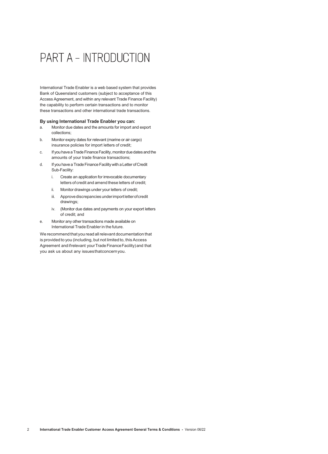# PART A - INTRODUCTION

<span id="page-3-0"></span>International Trade Enabler is a web based system that provides Bank of Queensland customers (subject to acceptance of this Access Agreement, and within any relevant Trade Finance Facility) the capability to perform certain transactions and to monitor these transactions and other international trade transactions.

### **By using International Trade Enabler you can:**

- a. Monitor due dates and the amounts for import and export collections;
- b. Monitor expiry dates for relevant (marine or air cargo) insurance policies for import letters of credit;
- c. If you have a Trade Finance Facility, monitor due dates and the amounts of your trade finance transactions;
- d. If you have a Trade Finance Facility with a Letter of Credit Sub-Facility:
	- i. Create an application for irrevocable documentary letters of credit and amend these letters of credit;
	- ii. Monitor drawings under your letters of credit;
	- iii. Approve discrepancies under import letter of credit drawings;
	- iv. (Monitor due dates and payments on your export letters of credit; and
- e. Monitor any other transactions made available on International Trade Enabler in the future.

We recommend that you read all relevant documentation that is provided to you (including, but not limited to, this Access Agreement and if relevant your Trade Finance Facility) and that you ask us about any issuesthatconcernyou.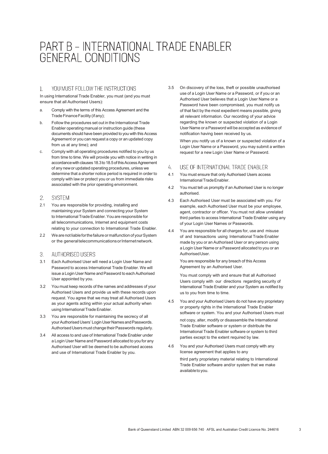# PART B - INTERNATIONAL TRADE ENABLER **GENERAL CONDITIONS**

#### $\mathbf{1}$ . YOU MUST FOLLOW THE INSTRUCTIONS

<span id="page-4-0"></span>In using International Trade Enabler, you must (and you must ensure that all Authorised Users):

- a. Comply with the terms of this Access Agreement and the Trade Finance Facility (if any);
- b. Follow the procedures set out in the International Trade Enabler operating manual or instruction guide (these documents should have been provided to you with this Access Agreement or you can request a copy or an updated copy from us at any time); and
- c. Comply with all operating procedures notified to you by us from time to time.We will provide you with notice in writing in accordance with clauses 18.3 to 18.5 of this Access Agreement of any newor updated operating procedures, unless we determine that a shorter notice period is required in order to comply with law or protect you or us from immediate risks associated with the prior operating environment.

#### $2.$ **SYSTEM**

- <span id="page-4-1"></span>2.1 You are responsible for providing, installing and maintaining your System and connecting your System to International Trade Enabler. You are responsible for all telecommunications, Internet and equipment costs relating to your connection to International Trade Enabler.
- 2.2 We are not liable for the failure or malfunction of your System or the general telecommunications or Internet network.

#### $\mathcal{S}$ AUTHORISED USERS

- <span id="page-4-2"></span>3.1 Each Authorised User will need a Login User Name and Password to access International Trade Enabler. We will issue a Login User Name and Password to each Authorised User appointed by you.
- 3.2 You must keep records of the names and addresses of your Authorised Users and provide us with these records upon request. You agree that we may treat all Authorised Users as your agents acting within your actual authority when using International Trade Enabler.
- 3.3 You are responsible for maintaining the secrecy of all your Authorised Users' Login User Names and Passwords. Authorised Users must change their Passwords regularly.
- 3.4 All access to and use of International Trade Enabler under a Login User Name and Password allocated to you for any Authorised User will be deemed to be authorised access and use of International Trade Enabler by you.

3.5 On discovery of the loss, theft or possible unauthorised use of a Login User Name or a Password, or if you or an Authorised User believes that a Login User Name or a Password have been compromised, you must notify us of that fact by the most expedient means possible, giving all relevant information. Our recording of your advice regarding the known or suspected violation of a Login User Name or aPassword will be accepted as evidence of notification having been received by us.

When you notify us of a known or suspected violation of a Login User Name or a Password, you may submit a written request for a new Login User Name or Password.

#### USE OF INTERNATIONAL TRADE ENABLER 4.

- <span id="page-4-3"></span>4.1 You must ensure that only Authorised Users access InternationalTradeEnabler.
- 4.2 You must tell us promptly if an Authorised User is no longer authorised.
- 4.3 Each Authorised User must be associated with you. For example, each Authorised User must be your employee, agent, contractor or officer. You must not allow unrelated third parties to access International Trade Enabler using any of your Login User Names or Passwords.
- 4.4 You are responsible for all charges for, use and misuse of and transactions using International Trade Enabler made by you or an Authorised User or any person using a Login User Name or aPassword allocated to you or an Authorised Llser

You are responsible for any breach of this Access Agreement by an Authorised User.

You must comply with and ensure that all Authorised Users comply with our directions regarding security of International Trade Enabler and your System as notified by us to you from time to time.

- 4.5 You and your Authorised Users do not have any proprietary or property rights in the International Trade Enabler software or system. You and your Authorised Users must not copy, alter, modify or disassemble the International Trade Enabler software or system or distribute the International Trade Enabler software or system to third parties except to the extent required by law.
- 4.6 You and your Authorised Users must comply with any license agreement that applies to any third party proprietary material relating to International Trade Enabler software and/or system that we make availabletoyou.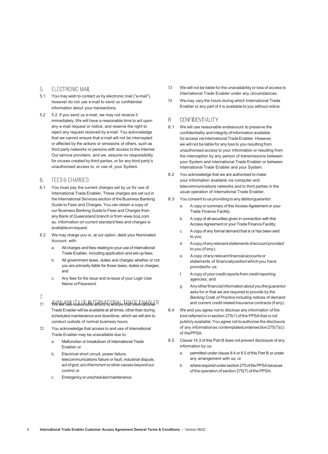#### 5. ELECTRONIC MAIL

- <span id="page-5-0"></span>5.1 You may wish to contact us by electronic mail ("e-mail"), however do not use e-mail to send us confidential information about your transactions.
- 5.2 5.2 If you send us e-mail, we may not receive it immediately. We will have a reasonable time to act upon any e-mail request or notice, and reserve the right to reject any request received by e-mail. You acknowledge that we cannot ensure that e-mail will not be intercepted or affected by the actions or omissions of others, such as third party networks or persons with access to the Internet. Our service providers, and we, assume no responsibility for viruses created by third parties, or for any third party's unauthorised access to, or use of, your System.
- **FEES & CHARGES**  $6^{\circ}$
- <span id="page-5-1"></span>6.1 You must pay the current charges set by us for use of International Trade Enabler. These charges are set out in the International Services section of the Business Banking Guide to Fees and Charges. You can obtain a copy of our Business Banking Guide to Fees and Charges from any Bank of Queensland branch or from [www.boq.com.](http://www.boq.com/) au. Information on current standard fees and charges is availableonrequest.
- 6.2 We may charge you or, at our option, debit your Nominated Account with:
	- a. All charges and fees relating to your use of International Trade Enabler, including application and set-up fees;
	- b. All government taxes, duties and charges whether or not you are primarily liable for those taxes, duties or charges; and
	- c. Any fees for the issue and re-issue of your Login User Name orPassword.

## $7<sub>1</sub>$

- <span id="page-5-2"></span>7.1 We will use reasonable efforts to ensure that International Trade Enabler will be available at all times, other than during scheduled maintenance and downtime, which we will aim to conduct outside of normal business hours.
- 7.2 You acknowledge that access to and use of International Trade Enabler may be unavailable due to:
	- a. Malfunction or breakdown of International Trade Enabler;or
	- b. Electrical short circuit, power failure, telecommunications failure or fault, industrial dispute, act of god, act of terrorism or other causes beyond our control;or
	- c. Emergency or unscheduled maintenance.
- 7.3 We will not be liable for the unavailability or loss of access to International Trade Enabler under any circumstances.
- 7.4 We may vary the hours during which International Trade Enabler or any part of it is available to you without notice.

#### 8 CONFIDENTIALITY

- 8.1 We will use reasonable endeavours to preserve the confidentiality and integrity of Information available for access via International Trade Enabler. However, we will not be liable for any loss to you resulting from unauthorised access to your Information or resulting from the interception by any person of transmissions between your System and International Trade Enabler or between International Trade Enabler and your System.
- 8.2 You acknowledge that we are authorised to make your Information available via computer and telecommunications networks and to third parties in the usual operation of International Trade Enabler.
- 8.3 You consent to us providing to any debtor/guarantor:
	- a. A copy or summary of this Access Agreement or your Trade Finance Facility;
	- b. A copy of all securities given in connection with this Access Agreement or your Trade Finance Facility;
	- c. A copy of any formal demand that is or has been sent to you;
	- d. Acopyofanyrelevant statementsofaccountprovided to you (if any);
	- e. Acopy ofany relevantfinancialaccountsor statements of financialpositionwhichyou have providedto us;
	- f. Acopy of your creditreports from credit reporting agencies; and
	- g. Anyotherfinancialinformationabout youtheguarantor asks for or that we are required to provide by the *Banking Code of Practice* including notices of demand and current credit related insurance contracts (if any).
- <span id="page-5-3"></span>8.4 We and you agree not to disclose any information of the kind referred to in section 275(1) of the PPSA that is not publicly available. You agree not to authorise the disclosure of any informationas contemplatedundersection275(7)(c) of thePPSA.
- 8.5 Clause 14.3 of this Part B does not prevent disclosure of any information by us:
	- a. permitted under clause 8.4 or 8.5 of this Part B or under any arrangement with us; or
	- b. where required under section 275 of the PPSA because of the operation of section 275(7) of the PPSA.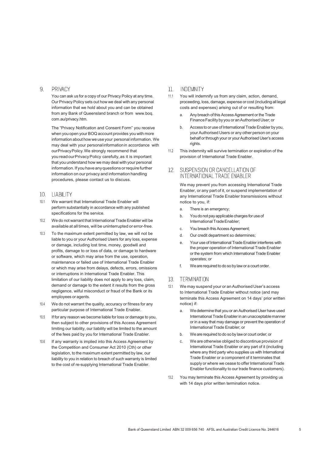#### <span id="page-6-0"></span>9. PRIVACY

You can ask us for a copy of our Privacy Policy at any time. Our Privacy Policy sets out how we deal with any personal information that we hold about you and can be obtained from any Bank of Queensland branch or from www.boq. com.au/privacy.htm.

The "Privacy Notification and Consent Form" you receive when you open your BOQ account provides you with more information about howwe use your personal information. We may deal with your personalinformationin accordance with ourPrivacyPolicy.We strongly recommend that you readourPrivacyPolicy carefully,as it is important that you understand how we may deal with your personal information. If you have any questions or require further information on our privacy and information handling procedures, please contact us to discuss.

## 10. LIABILITY

- <span id="page-6-1"></span>10.1 We warrant that International Trade Enabler will perform substantially in accordance with any published specifications for the service.
- 10.2 We do not warrant that International Trade Enabler will be available at all times, will be uninterrupted or error-free.
- 10.3 To the maximum extent permitted by law, we will not be liable to you or your Authorised Users for any loss, expense or damage, including lost time, money, goodwill and profits, damage to or loss of data, or damage to hardware or software, which may arise from the use, operation, maintenance or failed use of International Trade Enabler or which may arise from delays, defects, errors, omissions or interruptions in International Trade Enabler. This limitation of our liability does not apply to any loss, claim, demand or damage to the extent it results from the gross negligence, wilful misconduct or fraud of the Bank or its employees or agents.
- 10.4 We do not warrant the quality, accuracy or fitness for any particular purpose of International Trade Enabler.
- 10.5 If for any reason we become liable for loss or damage to you, then subject to other provisions of this Access Agreement limiting our liability, our liability will be limited to the amount of the fees paid by you for International Trade Enabler.
- 10.6 If any warranty is implied into this Access Agreement by the Competition and Consumer Act 2010 (Cth) or other legislation, to the maximum extent permitted by law, our liability to you in relation to breach of such warranty is limited to the cost of re-supplying International Trade Enabler.

#### $11.$ INDEMNITY

- 11.1 You will indemnify us from any claim, action, demand, proceeding, loss, damage, expense or cost (includingall legal costs and expenses) arising out of or resulting from:
	- Any breach of this Access Agreement or the Trade FinanceFacility by you or anAuthorised User; or
	- b. Access to or use of International Trade Enabler by you, your Authorised Users or any other person on your behalf or through your or your Authorised User's access rights.
- 11.2 This indemnity will survive termination or expiration of the provision of International Trade Enabler.

#### <span id="page-6-3"></span>SUSPENSION OR CANCELLATION OF  $12.$ INTERNATIONAL TRADE ENABLER

We may prevent you from accessing International Trade Enabler, or any part of it, or suspend implementation of any International Trade Enabler transmissions without notice to you, if:

- a. There is an emergency;
- b. You do not pay applicable charges for use of International Trade Enabler;
- c. You breach this Access Agreement;
- d. Our credit department so determines;
- e. Your use of International Trade Enabler interferes with the proper operation of International Trade Enabler or the system from which International Trade Enabler operates; or
- f. Weare required to do so by lawor a court order.

# 13. TERMINATION

- <span id="page-6-4"></span>13.1 We may suspend your or an Authorised User's access to International Trade Enabler without notice (and may terminate this Access Agreement on 14 days' prior written notice) if:
	- a. We determine that you or an Authorised User have used International Trade Enabler in an unacceptable manner or in a way that may damage or prevent the operation of International Trade Enabler; or
	- b. Weare required to do so by lawor court order; or
	- c. We are otherwise obliged to discontinue provision of International Trade Enabler or any part of it (including where any third party who supplies us with International Trade Enabler or a component of it terminates that supply or where we cease to offer International Trade Enabler functionality to our trade finance customers).
- <span id="page-6-2"></span>13.2 You may terminate this Access Agreement by providing us with 14 days prior written termination notice.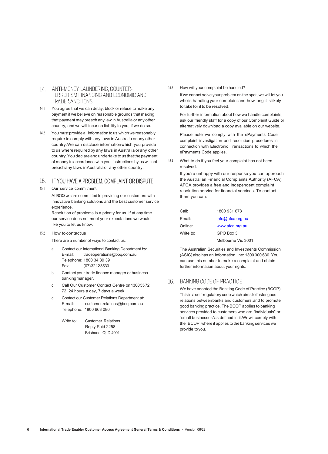# 14 ANTI-MONEY LAUNDERING, COUNTER-TERRORISM FINANCING AND ECONOMIC AND **TRADE SANCTIONS**

- 14.1 You agree that we can delay, block or refuse to make any payment if we believe on reasonable grounds that making that payment may breach any law in Australia or any other country, and we will incur no liability to you, if we do so.
- 14.2 You must provide all information to us whichwe reasonably require to comply with any laws in Australia or any other country.We can disclose informationwhich you provide to us where required by any laws inAustralia or any other country.Youdeclareandundertaketousthatthepayment of money in accordance with your instructions by us will not breachany laws inAustraliaor any other country.

# IF YOU HAVE A PROBLEM, COMPLAINT OR DISPUTE

<span id="page-7-0"></span>15.1 Our service commitment

At BOQ we are committed to providing our customers with innovative banking solutions and the best customer service experience.

Resolution of problems is a priority for us. If at any time our service does not meet your expectations we would like you to let us know.

15.2 How to contact us

There are a number of ways to contact us:

- a. Contact our International Banking Department by: E-mail: [tradeoperations@boq.com.au](mailto:tradeoperations@boq.com.au) Telephone: 1800 34 39 39 Fax: (07)32123530
- b. Contact your trade finance manager or business bankingmanager.
- c. Call Our Customer Contact Centre on13005572 72, 24 hours a day, 7 days a week.
- d. Contact our Customer Relations Department at: E-mail: [customer.relations@boq.com.au](mailto:customer.relations@boq.com.au) Telephone: 1800 663 080
	- Write to: Customer Relations Reply Paid 2258 Brisbane QLD 4001

15.3 How will your complaint be handled?

If we cannot solve your problem on the spot, we will let you who is handling your complaint and how long it is likely to take for it to be resolved.

For further information about how we handle complaints, ask our friendly staff for a copy of our Complaint Guide or alternatively download a copy available on our website.

Please note we comply with the ePayments Code complaint investigation and resolution procedures in connection with Electronic Transactions to which the ePayments Code applies.

15.4 What to do if you feel your complaint has not been resolved.

> If you're unhappy with our response you can approach the Australian Financial Complaints Authority (AFCA). AFCA provides a free and independent complaint resolution service for financial services. To contact them you can:

| Call:     | 1800 931 678       |
|-----------|--------------------|
| Email:    | info@afca.org.au   |
| Online:   | www.afca.org.au    |
| Write to: | GPO Box 3          |
|           | Melbourne Vic 3001 |

The Australian Securities and Investments Commission (ASIC) also has an information line: 1300 300 630. You can use this number to make a complaint and obtain further information about your rights.

# <span id="page-7-1"></span>16. BANKING CODE OF PRACTICE

We have adopted the Banking Code of Practice (BCOP). This is a self-regulatory code which aims to foster good relations betweenbanks and customers,and to promote good banking practice. The BCOP applies to banking services provided to customers who are "individuals" or "small businesses"as defined in it.Wewillcomply with the BCOP, where it applies to the banking services we provide toyou.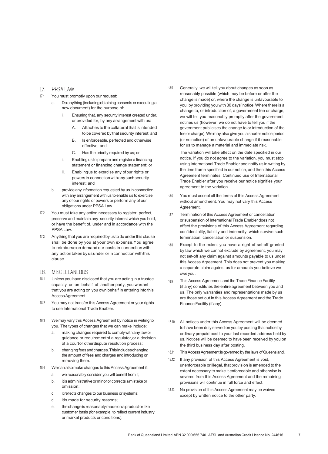## 17. PPSA LAW

- <span id="page-8-0"></span>17.1 You must promptly upon our request:
	- a. Do anything (including obtaining consents or executing a new document) for the purpose of:
		- Ensuring that, any security interest created under, or provided for, by any arrangement with us:
			- A. Attaches to the collateral that is intended to be covered by that security interest; and
			- B. Is enforceable, perfected and otherwise effective; and
			- C. Has the priority required by us; or
		- ii. Enabling us to prepare and registera financing statement or financing change statement; or
		- iii. Enablingus to exercise any ofour rights or powers in connection with any such security interest; and
	- b. provide any information requested by us in connection with any arrangement with us to enable us to exercise any of our rights or powers or perform any of our obligations under PPSA Law.
- 17.2 You must take any action necessary to register, perfect, preserve and maintain any security interest which you hold, or have the benefit of, under and in accordance with the PPSA Law.
- 17.3 Anything that you are required by us to do underthis clause shall be done by you at your own expense.You agree to reimburse on demand our costs in connectionwith any action taken by us under or in connection with this clause.

## 18. MISCELLANEOUS

- <span id="page-8-1"></span>18.1 Unless you have disclosed that you are acting in a trustee capacity or on behalf of another party, you warrant that you are acting on you own behalf in entering into this AccessAgreement.
- 18.2 You may not transfer this Access Agreement or your rights to use International Trade Enabler.
- 18.3 We may vary this Access Agreement by notice in writing to you. The types of changes that we can make include:
	- making changes required to comply with any law or guidance or requirementof a regulator,or a decision of a courtor otherdispute resolution process;
	- b. changingfeesandcharges.Thisincludeschanging the amount of fees and charges and introducing or removing them.
- 18.4 Wecan alsomakechanges to this Access Agreement if:
	- a. we reasonably consider you will benefit from it;
	- b. it is administrative or minor or corrects a mistake or omission;
	- c. it reflects changes to our business or systems;
	- d. itis made for security reasons;
	- e. thechangeis reasonablymadeonaproduct orlike customer basis (for example, to reflect current industry or market products or conditions).

18.5 Generally, we will tell you about changes as soon as reasonably possible (which may be before or after the change is made) or, where the change is unfavourable to you, by providing you with 30 days' notice.Where there is a change to, or introduction of, a government fee or charge, we will tell you reasonably promptly after the government notifies us (however, we do not have to tell you if the government publicises the change to or introduction of the fee or charge). We may also give you a shorter notice period (or no notice) of an unfavourable change if it reasonable for us to manage a material and immediate risk.

The variation will take effect on the date specified in our notice. If you do not agree to the variation, you must stop using International Trade Enabler and notify us in writing by the time frame specified in our notice, and then this Access Agreement terminates. Continued use of International Trade Enabler after you receive our notice signifies your agreement to the variation.

- 18.6 You must accept all the terms of this Access Agreement without amendment. You may not vary this Access Agreement.
- 18.7 Termination of this Access Agreement or cancellation or suspension of International Trade Enabler does not affect the provisions of this Access Agreement regarding confidentiality, liability and indemnity, which survive such termination, cancellation or suspension.
- 18.8 Except to the extent you have a right of set-off granted by law which we cannot exclude by agreement, you may not set-off any claim against amounts payable to us under this Access Agreement. This does not prevent you making a separate claim against us for amounts you believe we oweyou.
- 18.9 This Access Agreement and the Trade Finance Facility (if any) constitutes the entire agreement between you and us. The only warranties and representations made by us are those set out in this Access Agreement and the Trade Finance Facility (if any).
- 18.10 All notices under this Access Agreement will be deemed to have been duly served on you by posting that notice by ordinary prepaid post to your last recorded address held by us. Notices will be deemed to have been received by you on the third business day after posting.
- 18.11 This Access Agreement is governed by the laws of Queensland.
- 18.12 If any provision of this Access Agreement is void, unenforceable or illegal, that provision is amended to the extent necessary to make it enforceable and otherwise is severed from this Access Agreement and the remaining provisions will continue in full force and effect.
- 18.13 No provision of this Access Agreement may be waived except by written notice to the other party.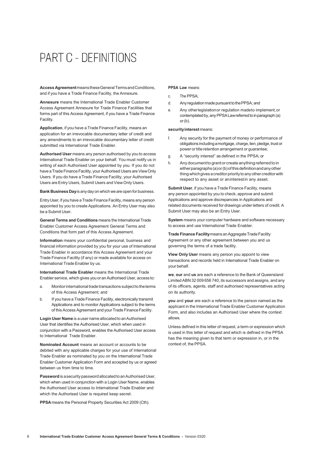# PART C - DEFINITIONS

<span id="page-9-0"></span>**Access Agreement**meanstheseGeneralTermsandConditions, and if you have a Trade Finance Facility, the Annexure.

**Annexure** means the International Trade Enabler Customer Access Agreement Annexure for Trade Finance Facilities that forms part of this Access Agreement, if you have a Trade Finance Facility.

**Application**, if you have a Trade Finance Facility, means an application for an irrevocable documentary letter of credit and any amendments to an irrevocable documentary letter of credit submitted via International Trade Enabler.

**Authorised User** means any person authorised by you to access International Trade Enabler on your behalf. You must notify us in writing of each Authorised User appointed by you. If you do not have a Trade Finance Facility, your Authorised Users are View Only Users. If you do have a Trade Finance Facility, your Authorised Users are Entry Users, Submit Users and View Only Users.

**Bank Business Day**is anydayon which we are open for business.

Entry User, if you have a Trade Finance Facility, means any person appointed by you to create Applications. An Entry User may also be a Submit User.

**General Terms and Conditions** means the International Trade Enabler Customer Access Agreement General Terms and Conditions that form part of this Access Agreement.

**Information** means your confidential personal, business and financial information provided by you for your use of International Trade Enabler in accordance this Access Agreement and your Trade Finance Facility (if any) or made available for access on International Trade Enabler by us.

**International Trade Enabler** means the International Trade Enabler service, which gives you or an Authorised User, access to:

- a. Monitor international trade transactions subject to the terms of this Access Agreement; and
- b. If you have a Trade Finance Facility, electronically transmit Applications and to monitor Applications subject to the terms of this Access Agreement and your Trade Finance Facility.

**Login User Name** is a user name allocated to an Authorised User that identifies the Authorised User, which when used in conjunction with a Password, enables the Authorised User access to International Trade Enabler.

**Nominated Account** means an account or accounts to be debited with any applicable charges for your use of International Trade Enabler as nominated by you on the International Trade Enabler Customer Application Form and accepted by us or agreed between us from time to time.

Password is a security password allocated to an Authorised User, which when used in conjunction with a Login User Name, enables the Authorised User access to International Trade Enabler and which the Authorised User is required keep secret.

**PPSA**means the Personal Property Securities Act 2009 (Cth).

#### **PPSA Law** means:

- c. The PPSA;
- d. Any regulation made pursuant to the PPSA; and
- e. Any otherlegislationor regulation madeto implement,or contemplated by, any PPSA Law referred to in paragraph (a) or(b).

#### **securityinterest** means:

- f. Any security for the payment of money or performance of obligations includingamortgage, charge, lien, pledge, trust or power or title retention arrangement or guarantee;
- g. A "security interest" as defined in the PPSA; or
- h. Any document to grant or create anything referred to in eitherparagraphs(a)or(b)ofthisdefinitionandanyother thing which gives a creditor priority to any other creditor with respect to any asset or aninterestin any asset.

**Submit User**, if you have a Trade Finance Facility, means any person appointed by you to check, approve and submit Applications and approve discrepancies in Applications and related documents received for drawings under letters of credit. A Submit User may also be an Entry User.

**System** means your computer hardware and software necessary to access and use International Trade Enabler.

**Trade Finance Facility** means an Aggregate Trade Facility Agreement or any other agreement between you and us governing the terms of a trade facility.

**View Only User** means any person you appoint to view transactions and records held in International Trade Enabler on your behalf.

**we**, **our** and **us** are each a reference to the Bank of Queensland LimitedABN 32 009 656 740, its successors and assigns, and any of its officers, agents, staff and authorised representatives acting on its authority.

**you** and **your** are each a reference to the person named as the applicant in the International Trade Enabler Customer Application Form, and also includes an Authorised User where the context allows.

Unless defined in this letter of request, a term or expression which is used in this letter of request and which is defined in the PPSA has the meaning given to that term or expression in, or in the context of, the PPSA.